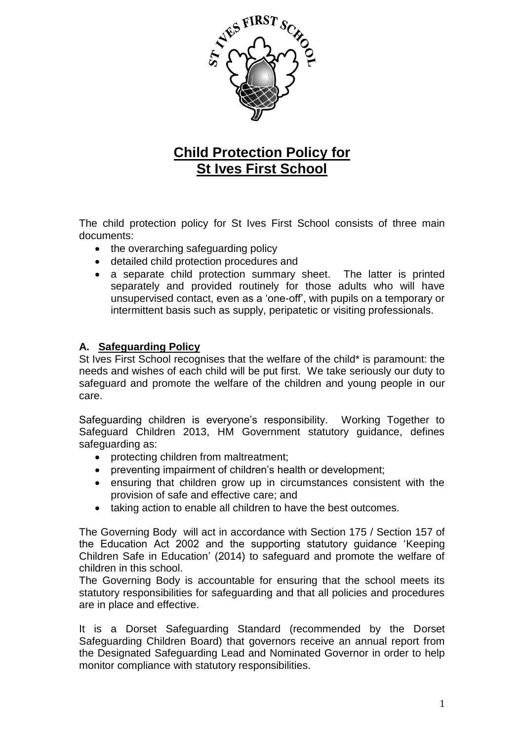

# **Child Protection Policy for St Ives First School**

The child protection policy for St Ives First School consists of three main documents:

- the overarching safeguarding policy
- detailed child protection procedures and
- a separate child protection summary sheet. The latter is printed separately and provided routinely for those adults who will have unsupervised contact, even as a 'one-off', with pupils on a temporary or intermittent basis such as supply, peripatetic or visiting professionals.

## **A. Safeguarding Policy**

St Ives First School recognises that the welfare of the child\* is paramount: the needs and wishes of each child will be put first. We take seriously our duty to safeguard and promote the welfare of the children and young people in our care.

Safeguarding children is everyone's responsibility. Working Together to Safeguard Children 2013, HM Government statutory guidance, defines safeguarding as:

- protecting children from maltreatment;
- preventing impairment of children's health or development;
- ensuring that children grow up in circumstances consistent with the provision of safe and effective care; and
- taking action to enable all children to have the best outcomes.

The Governing Body will act in accordance with Section 175 / Section 157 of the Education Act 2002 and the supporting statutory guidance 'Keeping Children Safe in Education' (2014) to safeguard and promote the welfare of children in this school.

The Governing Body is accountable for ensuring that the school meets its statutory responsibilities for safeguarding and that all policies and procedures are in place and effective.

It is a Dorset Safeguarding Standard (recommended by the Dorset Safeguarding Children Board) that governors receive an annual report from the Designated Safeguarding Lead and Nominated Governor in order to help monitor compliance with statutory responsibilities.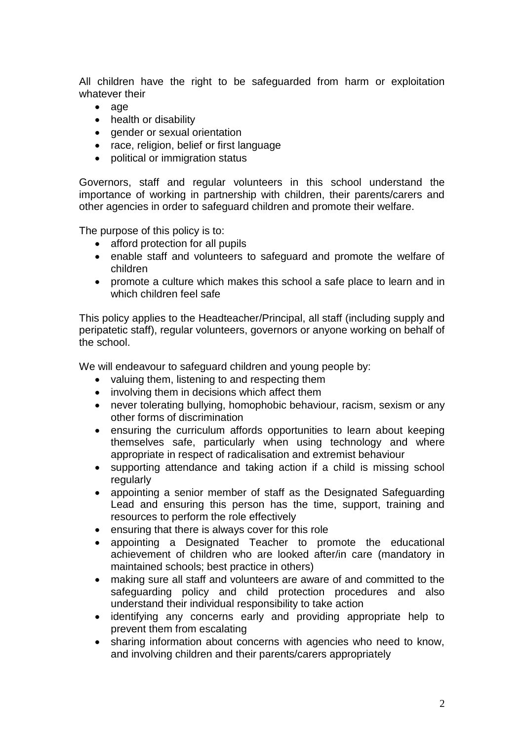All children have the right to be safeguarded from harm or exploitation whatever their

- $\bullet$  age
- health or disability
- gender or sexual orientation
- race, religion, belief or first language
- political or immigration status

Governors, staff and regular volunteers in this school understand the importance of working in partnership with children, their parents/carers and other agencies in order to safeguard children and promote their welfare.

The purpose of this policy is to:

- afford protection for all pupils
- enable staff and volunteers to safeguard and promote the welfare of children
- promote a culture which makes this school a safe place to learn and in which children feel safe

This policy applies to the Headteacher/Principal, all staff (including supply and peripatetic staff), regular volunteers, governors or anyone working on behalf of the school.

We will endeavour to safeguard children and young people by:

- valuing them, listening to and respecting them
- involving them in decisions which affect them
- never tolerating bullying, homophobic behaviour, racism, sexism or any other forms of discrimination
- ensuring the curriculum affords opportunities to learn about keeping themselves safe, particularly when using technology and where appropriate in respect of radicalisation and extremist behaviour
- supporting attendance and taking action if a child is missing school regularly
- appointing a senior member of staff as the Designated Safeguarding Lead and ensuring this person has the time, support, training and resources to perform the role effectively
- ensuring that there is always cover for this role
- appointing a Designated Teacher to promote the educational achievement of children who are looked after/in care (mandatory in maintained schools; best practice in others)
- making sure all staff and volunteers are aware of and committed to the safeguarding policy and child protection procedures and also understand their individual responsibility to take action
- identifying any concerns early and providing appropriate help to prevent them from escalating
- sharing information about concerns with agencies who need to know, and involving children and their parents/carers appropriately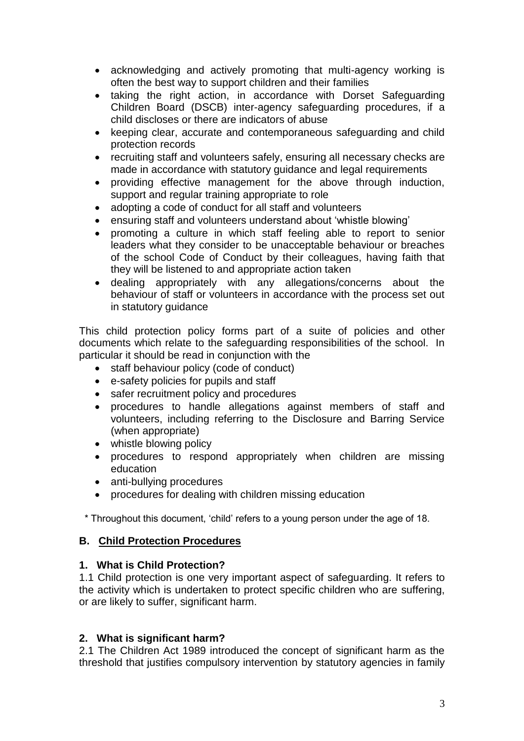- acknowledging and actively promoting that multi-agency working is often the best way to support children and their families
- taking the right action, in accordance with Dorset Safeguarding Children Board (DSCB) inter-agency safeguarding procedures, if a child discloses or there are indicators of abuse
- keeping clear, accurate and contemporaneous safeguarding and child protection records
- recruiting staff and volunteers safely, ensuring all necessary checks are made in accordance with statutory guidance and legal requirements
- providing effective management for the above through induction, support and regular training appropriate to role
- adopting a code of conduct for all staff and volunteers
- ensuring staff and volunteers understand about 'whistle blowing'
- promoting a culture in which staff feeling able to report to senior leaders what they consider to be unacceptable behaviour or breaches of the school Code of Conduct by their colleagues, having faith that they will be listened to and appropriate action taken
- dealing appropriately with any allegations/concerns about the behaviour of staff or volunteers in accordance with the process set out in statutory guidance

This child protection policy forms part of a suite of policies and other documents which relate to the safeguarding responsibilities of the school. In particular it should be read in conjunction with the

- staff behaviour policy (code of conduct)
- e-safety policies for pupils and staff
- safer recruitment policy and procedures
- procedures to handle allegations against members of staff and volunteers, including referring to the Disclosure and Barring Service (when appropriate)
- whistle blowing policy
- procedures to respond appropriately when children are missing education
- anti-bullying procedures
- procedures for dealing with children missing education

\* Throughout this document, 'child' refers to a young person under the age of 18.

#### **B. Child Protection Procedures**

#### **1. What is Child Protection?**

1.1 Child protection is one very important aspect of safeguarding. It refers to the activity which is undertaken to protect specific children who are suffering, or are likely to suffer, significant harm.

#### **2. What is significant harm?**

2.1 The Children Act 1989 introduced the concept of significant harm as the threshold that justifies compulsory intervention by statutory agencies in family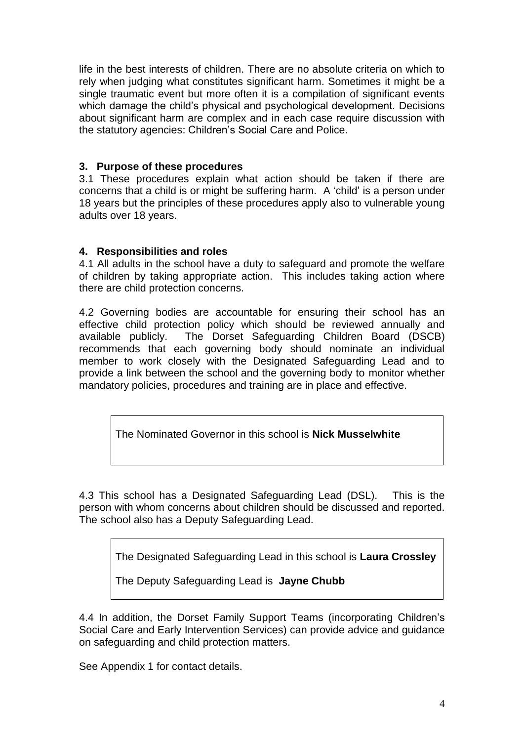life in the best interests of children. There are no absolute criteria on which to rely when judging what constitutes significant harm. Sometimes it might be a single traumatic event but more often it is a compilation of significant events which damage the child's physical and psychological development. Decisions about significant harm are complex and in each case require discussion with the statutory agencies: Children's Social Care and Police.

#### **3. Purpose of these procedures**

3.1 These procedures explain what action should be taken if there are concerns that a child is or might be suffering harm. A 'child' is a person under 18 years but the principles of these procedures apply also to vulnerable young adults over 18 years.

#### **4. Responsibilities and roles**

4.1 All adults in the school have a duty to safeguard and promote the welfare of children by taking appropriate action. This includes taking action where there are child protection concerns.

4.2 Governing bodies are accountable for ensuring their school has an effective child protection policy which should be reviewed annually and available publicly. The Dorset Safeguarding Children Board (DSCB) recommends that each governing body should nominate an individual member to work closely with the Designated Safeguarding Lead and to provide a link between the school and the governing body to monitor whether mandatory policies, procedures and training are in place and effective.

The Nominated Governor in this school is **Nick Musselwhite**

4.3 This school has a Designated Safeguarding Lead (DSL). This is the person with whom concerns about children should be discussed and reported. The school also has a Deputy Safeguarding Lead.

The Designated Safeguarding Lead in this school is **Laura Crossley**

The Deputy Safeguarding Lead is **Jayne Chubb**

4.4 In addition, the Dorset Family Support Teams (incorporating Children's Social Care and Early Intervention Services) can provide advice and guidance on safeguarding and child protection matters.

See Appendix 1 for contact details.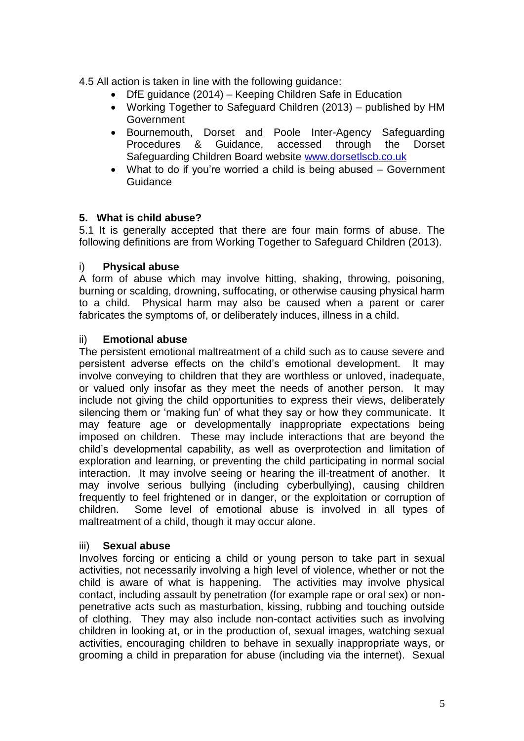4.5 All action is taken in line with the following guidance:

- DfE guidance (2014) Keeping Children Safe in Education
- Working Together to Safeguard Children (2013) published by HM Government
- Bournemouth, Dorset and Poole Inter-Agency Safeguarding Procedures & Guidance, accessed through the Dorset Safeguarding Children Board website [www.dorsetlscb.co.uk](http://www.dorsetlscb.co.uk/)
- What to do if you're worried a child is being abused Government **Guidance**

## **5. What is child abuse?**

5.1 It is generally accepted that there are four main forms of abuse. The following definitions are from Working Together to Safeguard Children (2013).

## i) **Physical abuse**

A form of abuse which may involve hitting, shaking, throwing, poisoning, burning or scalding, drowning, suffocating, or otherwise causing physical harm to a child. Physical harm may also be caused when a parent or carer fabricates the symptoms of, or deliberately induces, illness in a child.

#### ii) **Emotional abuse**

The persistent emotional maltreatment of a child such as to cause severe and persistent adverse effects on the child's emotional development. It may involve conveying to children that they are worthless or unloved, inadequate, or valued only insofar as they meet the needs of another person. It may include not giving the child opportunities to express their views, deliberately silencing them or 'making fun' of what they say or how they communicate. It may feature age or developmentally inappropriate expectations being imposed on children. These may include interactions that are beyond the child's developmental capability, as well as overprotection and limitation of exploration and learning, or preventing the child participating in normal social interaction. It may involve seeing or hearing the ill-treatment of another. It may involve serious bullying (including cyberbullying), causing children frequently to feel frightened or in danger, or the exploitation or corruption of children. Some level of emotional abuse is involved in all types of maltreatment of a child, though it may occur alone.

#### iii) **Sexual abuse**

Involves forcing or enticing a child or young person to take part in sexual activities, not necessarily involving a high level of violence, whether or not the child is aware of what is happening. The activities may involve physical contact, including assault by penetration (for example rape or oral sex) or nonpenetrative acts such as masturbation, kissing, rubbing and touching outside of clothing. They may also include non-contact activities such as involving children in looking at, or in the production of, sexual images, watching sexual activities, encouraging children to behave in sexually inappropriate ways, or grooming a child in preparation for abuse (including via the internet). Sexual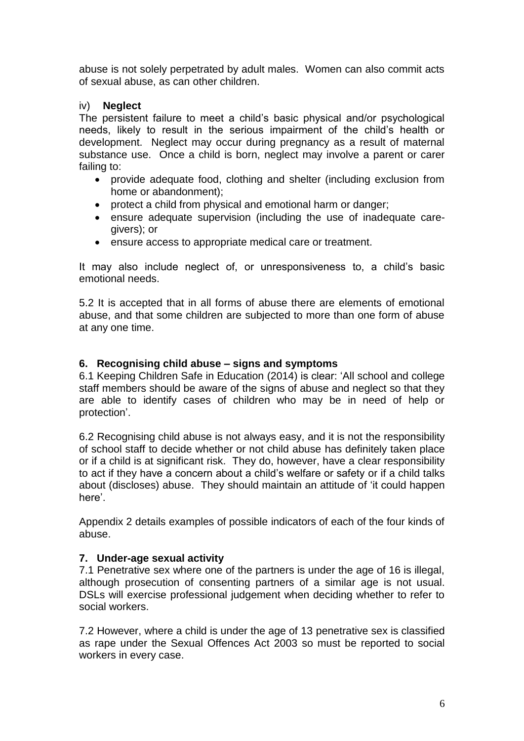abuse is not solely perpetrated by adult males. Women can also commit acts of sexual abuse, as can other children.

# iv) **Neglect**

The persistent failure to meet a child's basic physical and/or psychological needs, likely to result in the serious impairment of the child's health or development. Neglect may occur during pregnancy as a result of maternal substance use. Once a child is born, neglect may involve a parent or carer failing to:

- provide adequate food, clothing and shelter (including exclusion from home or abandonment);
- protect a child from physical and emotional harm or danger;
- ensure adequate supervision (including the use of inadequate caregivers); or
- ensure access to appropriate medical care or treatment.

It may also include neglect of, or unresponsiveness to, a child's basic emotional needs.

5.2 It is accepted that in all forms of abuse there are elements of emotional abuse, and that some children are subjected to more than one form of abuse at any one time.

## **6. Recognising child abuse – signs and symptoms**

6.1 Keeping Children Safe in Education (2014) is clear: 'All school and college staff members should be aware of the signs of abuse and neglect so that they are able to identify cases of children who may be in need of help or protection'.

6.2 Recognising child abuse is not always easy, and it is not the responsibility of school staff to decide whether or not child abuse has definitely taken place or if a child is at significant risk. They do, however, have a clear responsibility to act if they have a concern about a child's welfare or safety or if a child talks about (discloses) abuse. They should maintain an attitude of 'it could happen here'.

Appendix 2 details examples of possible indicators of each of the four kinds of abuse.

#### **7. Under-age sexual activity**

7.1 Penetrative sex where one of the partners is under the age of 16 is illegal, although prosecution of consenting partners of a similar age is not usual. DSLs will exercise professional judgement when deciding whether to refer to social workers.

7.2 However, where a child is under the age of 13 penetrative sex is classified as rape under the Sexual Offences Act 2003 so must be reported to social workers in every case.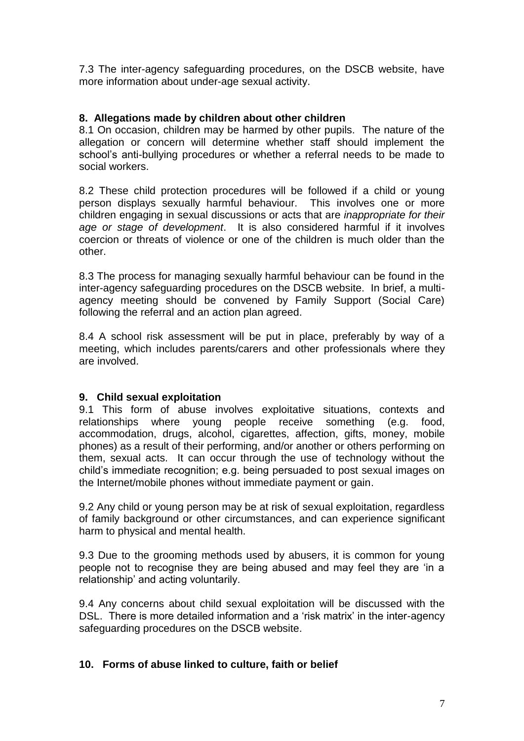7.3 The inter-agency safeguarding procedures, on the DSCB website, have more information about under-age sexual activity.

## **8. Allegations made by children about other children**

8.1 On occasion, children may be harmed by other pupils. The nature of the allegation or concern will determine whether staff should implement the school's anti-bullying procedures or whether a referral needs to be made to social workers.

8.2 These child protection procedures will be followed if a child or young person displays sexually harmful behaviour. This involves one or more children engaging in sexual discussions or acts that are *inappropriate for their age or stage of development*. It is also considered harmful if it involves coercion or threats of violence or one of the children is much older than the other.

8.3 The process for managing sexually harmful behaviour can be found in the inter-agency safeguarding procedures on the DSCB website. In brief, a multiagency meeting should be convened by Family Support (Social Care) following the referral and an action plan agreed.

8.4 A school risk assessment will be put in place, preferably by way of a meeting, which includes parents/carers and other professionals where they are involved.

#### **9. Child sexual exploitation**

9.1 This form of abuse involves exploitative situations, contexts and relationships where young people receive something (e.g. food, accommodation, drugs, alcohol, cigarettes, affection, gifts, money, mobile phones) as a result of their performing, and/or another or others performing on them, sexual acts. It can occur through the use of technology without the child's immediate recognition; e.g. being persuaded to post sexual images on the Internet/mobile phones without immediate payment or gain.

9.2 Any child or young person may be at risk of sexual exploitation, regardless of family background or other circumstances, and can experience significant harm to physical and mental health.

9.3 Due to the grooming methods used by abusers, it is common for young people not to recognise they are being abused and may feel they are 'in a relationship' and acting voluntarily.

9.4 Any concerns about child sexual exploitation will be discussed with the DSL. There is more detailed information and a 'risk matrix' in the inter-agency safeguarding procedures on the DSCB website.

#### **10. Forms of abuse linked to culture, faith or belief**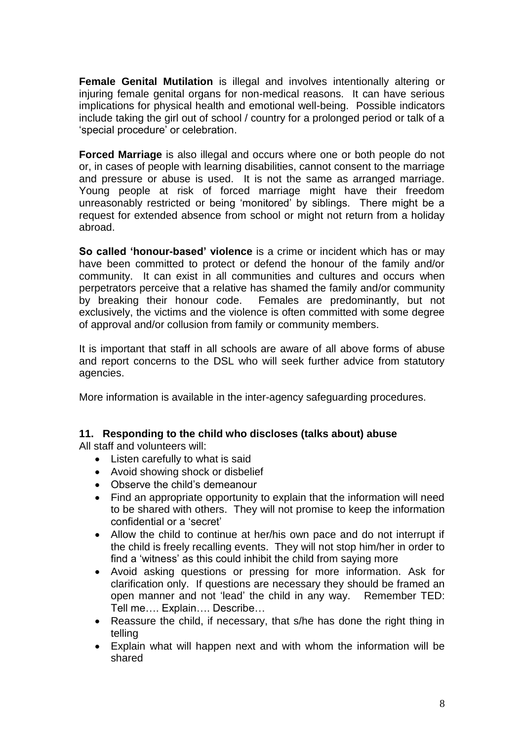**Female Genital Mutilation** is illegal and involves intentionally altering or injuring female genital organs for non-medical reasons. It can have serious implications for physical health and emotional well-being. Possible indicators include taking the girl out of school / country for a prolonged period or talk of a 'special procedure' or celebration.

**Forced Marriage** is also illegal and occurs where one or both people do not or, in cases of people with learning disabilities, cannot consent to the marriage and pressure or abuse is used. It is not the same as arranged marriage. Young people at risk of forced marriage might have their freedom unreasonably restricted or being 'monitored' by siblings. There might be a request for extended absence from school or might not return from a holiday abroad.

**So called 'honour-based' violence** is a crime or incident which has or may have been committed to protect or defend the honour of the family and/or community. It can exist in all communities and cultures and occurs when perpetrators perceive that a relative has shamed the family and/or community by breaking their honour code. Females are predominantly, but not exclusively, the victims and the violence is often committed with some degree of approval and/or collusion from family or community members.

It is important that staff in all schools are aware of all above forms of abuse and report concerns to the DSL who will seek further advice from statutory agencies.

More information is available in the inter-agency safeguarding procedures.

# **11. Responding to the child who discloses (talks about) abuse**

All staff and volunteers will:

- Listen carefully to what is said
- Avoid showing shock or disbelief
- Observe the child's demeanour
- Find an appropriate opportunity to explain that the information will need to be shared with others. They will not promise to keep the information confidential or a 'secret'
- Allow the child to continue at her/his own pace and do not interrupt if the child is freely recalling events. They will not stop him/her in order to find a 'witness' as this could inhibit the child from saying more
- Avoid asking questions or pressing for more information. Ask for clarification only. If questions are necessary they should be framed an open manner and not 'lead' the child in any way. Remember TED: Tell me…. Explain…. Describe…
- Reassure the child, if necessary, that s/he has done the right thing in telling
- Explain what will happen next and with whom the information will be shared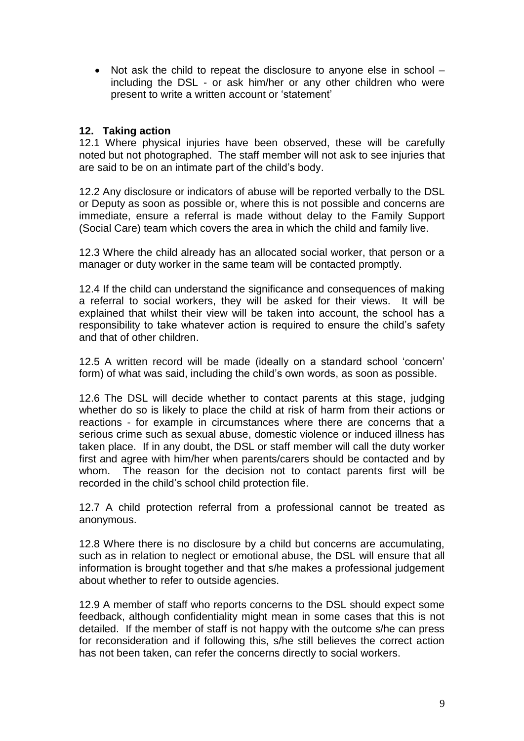• Not ask the child to repeat the disclosure to anyone else in school – including the DSL - or ask him/her or any other children who were present to write a written account or 'statement'

#### **12. Taking action**

12.1 Where physical injuries have been observed, these will be carefully noted but not photographed. The staff member will not ask to see injuries that are said to be on an intimate part of the child's body.

12.2 Any disclosure or indicators of abuse will be reported verbally to the DSL or Deputy as soon as possible or, where this is not possible and concerns are immediate, ensure a referral is made without delay to the Family Support (Social Care) team which covers the area in which the child and family live.

12.3 Where the child already has an allocated social worker, that person or a manager or duty worker in the same team will be contacted promptly.

12.4 If the child can understand the significance and consequences of making a referral to social workers, they will be asked for their views. It will be explained that whilst their view will be taken into account, the school has a responsibility to take whatever action is required to ensure the child's safety and that of other children.

12.5 A written record will be made (ideally on a standard school 'concern' form) of what was said, including the child's own words, as soon as possible.

12.6 The DSL will decide whether to contact parents at this stage, judging whether do so is likely to place the child at risk of harm from their actions or reactions - for example in circumstances where there are concerns that a serious crime such as sexual abuse, domestic violence or induced illness has taken place. If in any doubt, the DSL or staff member will call the duty worker first and agree with him/her when parents/carers should be contacted and by whom. The reason for the decision not to contact parents first will be recorded in the child's school child protection file.

12.7 A child protection referral from a professional cannot be treated as anonymous.

12.8 Where there is no disclosure by a child but concerns are accumulating, such as in relation to neglect or emotional abuse, the DSL will ensure that all information is brought together and that s/he makes a professional judgement about whether to refer to outside agencies.

12.9 A member of staff who reports concerns to the DSL should expect some feedback, although confidentiality might mean in some cases that this is not detailed. If the member of staff is not happy with the outcome s/he can press for reconsideration and if following this, s/he still believes the correct action has not been taken, can refer the concerns directly to social workers.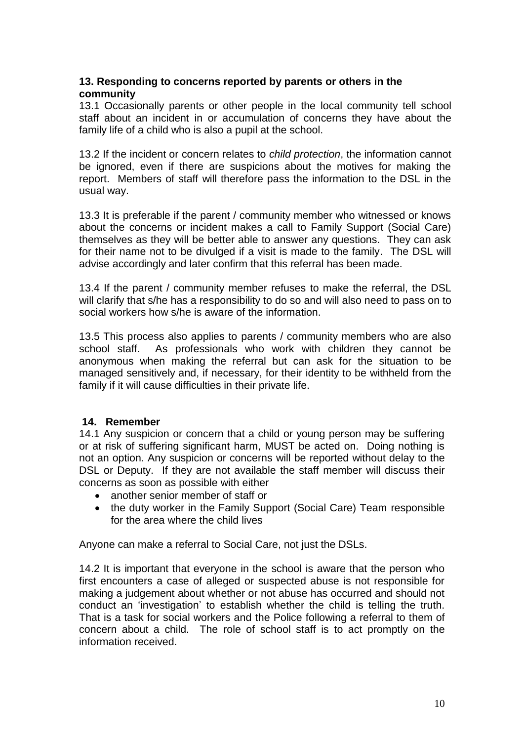# **13. Responding to concerns reported by parents or others in the community**

13.1 Occasionally parents or other people in the local community tell school staff about an incident in or accumulation of concerns they have about the family life of a child who is also a pupil at the school.

13.2 If the incident or concern relates to *child protection*, the information cannot be ignored, even if there are suspicions about the motives for making the report. Members of staff will therefore pass the information to the DSL in the usual way.

13.3 It is preferable if the parent / community member who witnessed or knows about the concerns or incident makes a call to Family Support (Social Care) themselves as they will be better able to answer any questions. They can ask for their name not to be divulged if a visit is made to the family. The DSL will advise accordingly and later confirm that this referral has been made.

13.4 If the parent / community member refuses to make the referral, the DSL will clarify that s/he has a responsibility to do so and will also need to pass on to social workers how s/he is aware of the information.

13.5 This process also applies to parents / community members who are also school staff. As professionals who work with children they cannot be anonymous when making the referral but can ask for the situation to be managed sensitively and, if necessary, for their identity to be withheld from the family if it will cause difficulties in their private life.

#### **14. Remember**

14.1 Any suspicion or concern that a child or young person may be suffering or at risk of suffering significant harm, MUST be acted on. Doing nothing is not an option. Any suspicion or concerns will be reported without delay to the DSL or Deputy. If they are not available the staff member will discuss their concerns as soon as possible with either

- another senior member of staff or
- the duty worker in the Family Support (Social Care) Team responsible for the area where the child lives

Anyone can make a referral to Social Care, not just the DSLs.

14.2 It is important that everyone in the school is aware that the person who first encounters a case of alleged or suspected abuse is not responsible for making a judgement about whether or not abuse has occurred and should not conduct an 'investigation' to establish whether the child is telling the truth. That is a task for social workers and the Police following a referral to them of concern about a child. The role of school staff is to act promptly on the information received.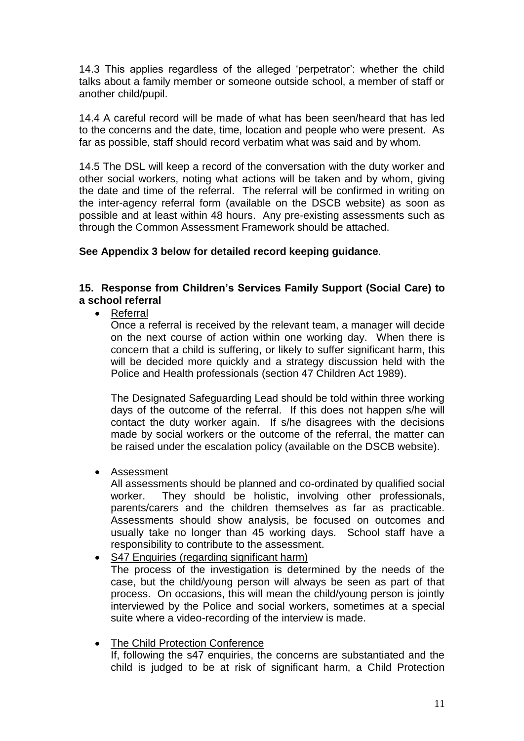14.3 This applies regardless of the alleged 'perpetrator': whether the child talks about a family member or someone outside school, a member of staff or another child/pupil.

14.4 A careful record will be made of what has been seen/heard that has led to the concerns and the date, time, location and people who were present. As far as possible, staff should record verbatim what was said and by whom.

14.5 The DSL will keep a record of the conversation with the duty worker and other social workers, noting what actions will be taken and by whom, giving the date and time of the referral. The referral will be confirmed in writing on the inter-agency referral form (available on the DSCB website) as soon as possible and at least within 48 hours. Any pre-existing assessments such as through the Common Assessment Framework should be attached.

# **See Appendix 3 below for detailed record keeping guidance**.

## **15. Response from Children's Services Family Support (Social Care) to a school referral**

#### • Referral

Once a referral is received by the relevant team, a manager will decide on the next course of action within one working day. When there is concern that a child is suffering, or likely to suffer significant harm, this will be decided more quickly and a strategy discussion held with the Police and Health professionals (section 47 Children Act 1989).

The Designated Safeguarding Lead should be told within three working days of the outcome of the referral. If this does not happen s/he will contact the duty worker again. If s/he disagrees with the decisions made by social workers or the outcome of the referral, the matter can be raised under the escalation policy (available on the DSCB website).

#### Assessment

All assessments should be planned and co-ordinated by qualified social worker. They should be holistic, involving other professionals, parents/carers and the children themselves as far as practicable. Assessments should show analysis, be focused on outcomes and usually take no longer than 45 working days. School staff have a responsibility to contribute to the assessment.

• S47 Enquiries (regarding significant harm) The process of the investigation is determined by the needs of the case, but the child/young person will always be seen as part of that process. On occasions, this will mean the child/young person is jointly interviewed by the Police and social workers, sometimes at a special suite where a video-recording of the interview is made.

#### The Child Protection Conference If, following the s47 enquiries, the concerns are substantiated and the child is judged to be at risk of significant harm, a Child Protection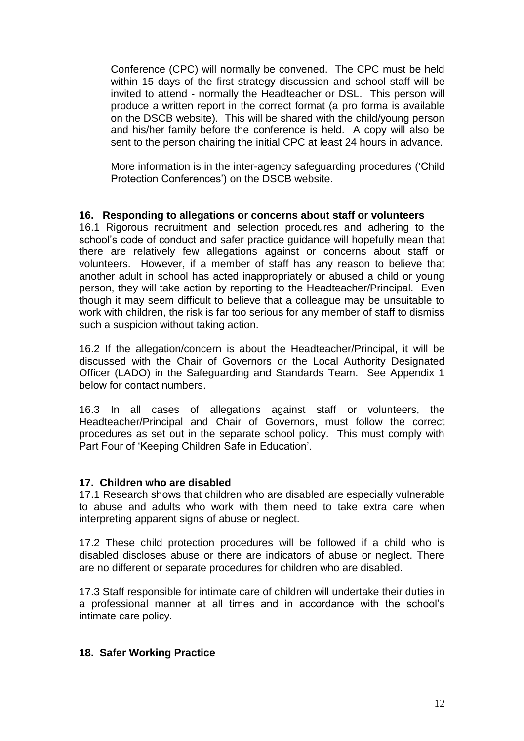Conference (CPC) will normally be convened. The CPC must be held within 15 days of the first strategy discussion and school staff will be invited to attend - normally the Headteacher or DSL. This person will produce a written report in the correct format (a pro forma is available on the DSCB website). This will be shared with the child/young person and his/her family before the conference is held. A copy will also be sent to the person chairing the initial CPC at least 24 hours in advance.

More information is in the inter-agency safeguarding procedures ('Child Protection Conferences') on the DSCB website.

#### **16. Responding to allegations or concerns about staff or volunteers**

16.1 Rigorous recruitment and selection procedures and adhering to the school's code of conduct and safer practice guidance will hopefully mean that there are relatively few allegations against or concerns about staff or volunteers. However, if a member of staff has any reason to believe that another adult in school has acted inappropriately or abused a child or young person, they will take action by reporting to the Headteacher/Principal. Even though it may seem difficult to believe that a colleague may be unsuitable to work with children, the risk is far too serious for any member of staff to dismiss such a suspicion without taking action.

16.2 If the allegation/concern is about the Headteacher/Principal, it will be discussed with the Chair of Governors or the Local Authority Designated Officer (LADO) in the Safeguarding and Standards Team. See Appendix 1 below for contact numbers.

16.3 In all cases of allegations against staff or volunteers, the Headteacher/Principal and Chair of Governors, must follow the correct procedures as set out in the separate school policy. This must comply with Part Four of 'Keeping Children Safe in Education'.

#### **17. Children who are disabled**

17.1 Research shows that children who are disabled are especially vulnerable to abuse and adults who work with them need to take extra care when interpreting apparent signs of abuse or neglect.

17.2 These child protection procedures will be followed if a child who is disabled discloses abuse or there are indicators of abuse or neglect. There are no different or separate procedures for children who are disabled.

17.3 Staff responsible for intimate care of children will undertake their duties in a professional manner at all times and in accordance with the school's intimate care policy.

#### **18. Safer Working Practice**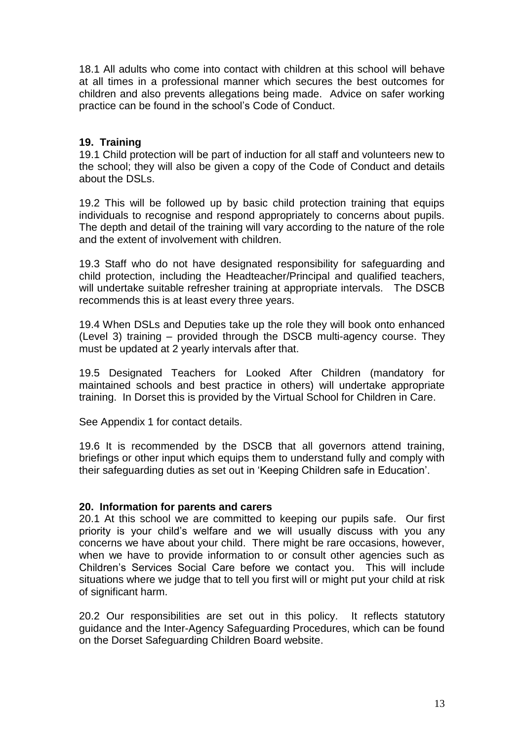18.1 All adults who come into contact with children at this school will behave at all times in a professional manner which secures the best outcomes for children and also prevents allegations being made. Advice on safer working practice can be found in the school's Code of Conduct.

#### **19. Training**

19.1 Child protection will be part of induction for all staff and volunteers new to the school; they will also be given a copy of the Code of Conduct and details about the DSLs.

19.2 This will be followed up by basic child protection training that equips individuals to recognise and respond appropriately to concerns about pupils. The depth and detail of the training will vary according to the nature of the role and the extent of involvement with children.

19.3 Staff who do not have designated responsibility for safeguarding and child protection, including the Headteacher/Principal and qualified teachers, will undertake suitable refresher training at appropriate intervals. The DSCB recommends this is at least every three years.

19.4 When DSLs and Deputies take up the role they will book onto enhanced (Level 3) training – provided through the DSCB multi-agency course. They must be updated at 2 yearly intervals after that.

19.5 Designated Teachers for Looked After Children (mandatory for maintained schools and best practice in others) will undertake appropriate training. In Dorset this is provided by the Virtual School for Children in Care.

See Appendix 1 for contact details.

19.6 It is recommended by the DSCB that all governors attend training, briefings or other input which equips them to understand fully and comply with their safeguarding duties as set out in 'Keeping Children safe in Education'.

#### **20. Information for parents and carers**

20.1 At this school we are committed to keeping our pupils safe. Our first priority is your child's welfare and we will usually discuss with you any concerns we have about your child. There might be rare occasions, however, when we have to provide information to or consult other agencies such as Children's Services Social Care before we contact you. This will include situations where we judge that to tell you first will or might put your child at risk of significant harm.

20.2 Our responsibilities are set out in this policy. It reflects statutory guidance and the Inter-Agency Safeguarding Procedures, which can be found on the Dorset Safeguarding Children Board website.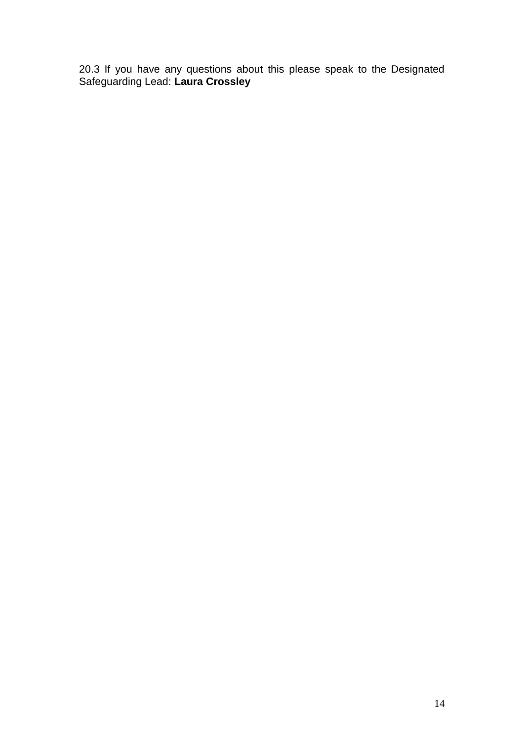20.3 If you have any questions about this please speak to the Designated Safeguarding Lead: **Laura Crossley**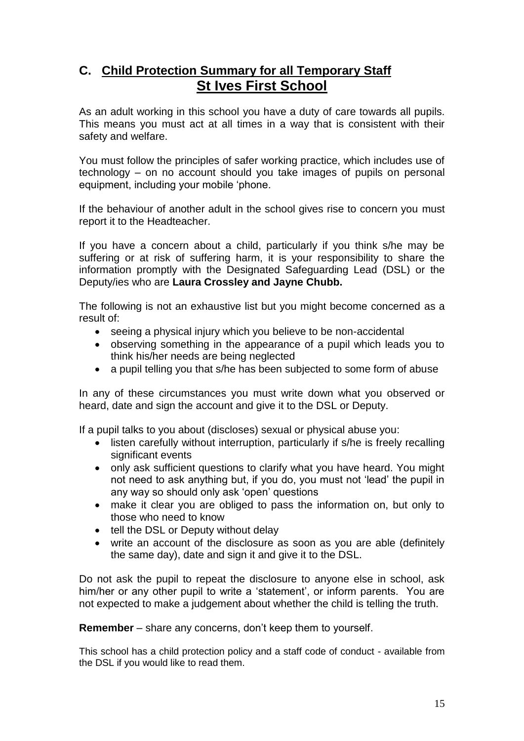# **C. Child Protection Summary for all Temporary Staff St Ives First School**

As an adult working in this school you have a duty of care towards all pupils. This means you must act at all times in a way that is consistent with their safety and welfare.

You must follow the principles of safer working practice, which includes use of technology – on no account should you take images of pupils on personal equipment, including your mobile 'phone.

If the behaviour of another adult in the school gives rise to concern you must report it to the Headteacher.

If you have a concern about a child, particularly if you think s/he may be suffering or at risk of suffering harm, it is your responsibility to share the information promptly with the Designated Safeguarding Lead (DSL) or the Deputy/ies who are **Laura Crossley and Jayne Chubb.**

The following is not an exhaustive list but you might become concerned as a result of:

- seeing a physical injury which you believe to be non-accidental
- observing something in the appearance of a pupil which leads you to think his/her needs are being neglected
- a pupil telling you that s/he has been subjected to some form of abuse

In any of these circumstances you must write down what you observed or heard, date and sign the account and give it to the DSL or Deputy.

If a pupil talks to you about (discloses) sexual or physical abuse you:

- listen carefully without interruption, particularly if s/he is freely recalling significant events
- only ask sufficient questions to clarify what you have heard. You might not need to ask anything but, if you do, you must not 'lead' the pupil in any way so should only ask 'open' questions
- make it clear you are obliged to pass the information on, but only to those who need to know
- tell the DSL or Deputy without delay
- write an account of the disclosure as soon as you are able (definitely the same day), date and sign it and give it to the DSL.

Do not ask the pupil to repeat the disclosure to anyone else in school, ask him/her or any other pupil to write a 'statement', or inform parents. You are not expected to make a judgement about whether the child is telling the truth.

**Remember** – share any concerns, don't keep them to yourself.

This school has a child protection policy and a staff code of conduct - available from the DSL if you would like to read them.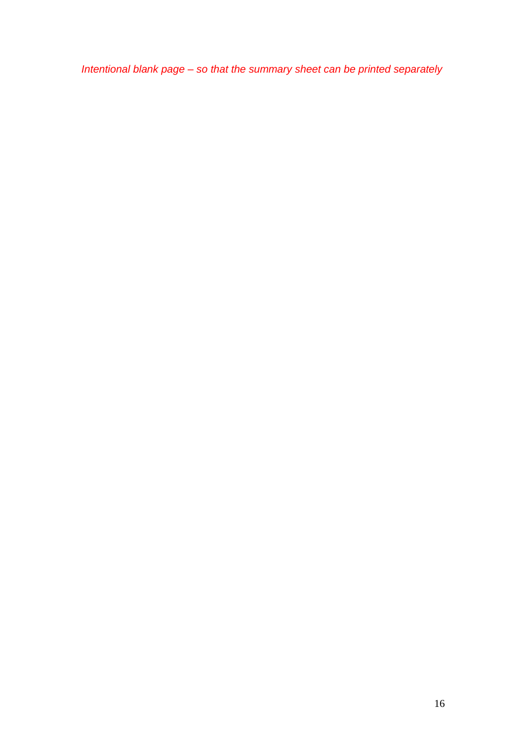*Intentional blank page – so that the summary sheet can be printed separately*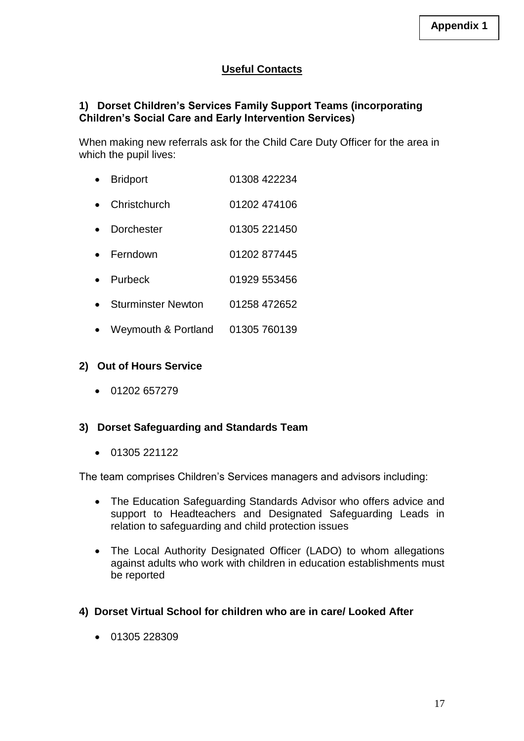# **Useful Contacts**

#### **1) Dorset Children's Services Family Support Teams (incorporating Children's Social Care and Early Intervention Services)**

When making new referrals ask for the Child Care Duty Officer for the area in which the pupil lives:

- Bridport 01308 422234
- Christchurch 01202 474106
- Dorchester 01305 221450
- Ferndown 01202 877445
- Purbeck 01929 553456
- Sturminster Newton 01258 472652
- Weymouth & Portland 01305 760139

#### **2) Out of Hours Service**

 $-01202657279$ 

#### **3) Dorset Safeguarding and Standards Team**

 $\bullet$  01305 221122

The team comprises Children's Services managers and advisors including:

- The Education Safeguarding Standards Advisor who offers advice and support to Headteachers and Designated Safeguarding Leads in relation to safeguarding and child protection issues
- The Local Authority Designated Officer (LADO) to whom allegations against adults who work with children in education establishments must be reported

#### **4) Dorset Virtual School for children who are in care/ Looked After**

• 01305 228309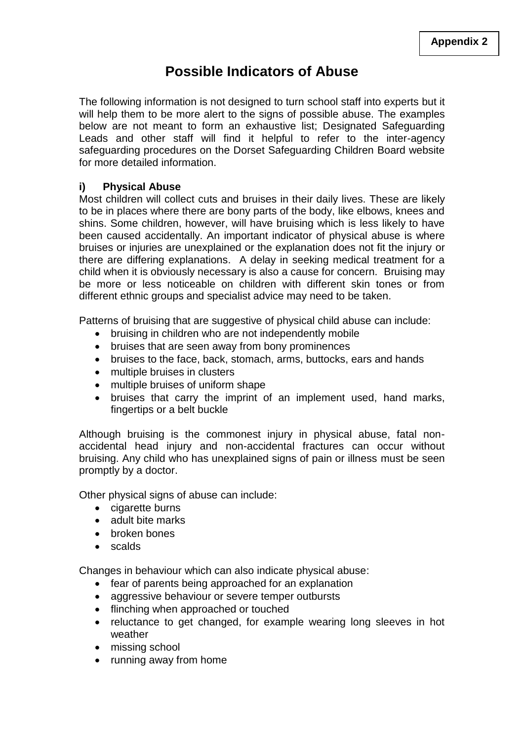# **Possible Indicators of Abuse**

The following information is not designed to turn school staff into experts but it will help them to be more alert to the signs of possible abuse. The examples below are not meant to form an exhaustive list; Designated Safeguarding Leads and other staff will find it helpful to refer to the inter-agency safeguarding procedures on the Dorset Safeguarding Children Board website for more detailed information.

## **i) Physical Abuse**

Most children will collect cuts and bruises in their daily lives. These are likely to be in places where there are bony parts of the body, like elbows, knees and shins. Some children, however, will have bruising which is less likely to have been caused accidentally. An important indicator of physical abuse is where bruises or injuries are unexplained or the explanation does not fit the injury or there are differing explanations. A delay in seeking medical treatment for a child when it is obviously necessary is also a cause for concern. Bruising may be more or less noticeable on children with different skin tones or from different ethnic groups and specialist advice may need to be taken.

Patterns of bruising that are suggestive of physical child abuse can include:

- bruising in children who are not independently mobile
- bruises that are seen away from bony prominences
- bruises to the face, back, stomach, arms, buttocks, ears and hands
- multiple bruises in clusters
- multiple bruises of uniform shape
- bruises that carry the imprint of an implement used, hand marks, fingertips or a belt buckle

Although bruising is the commonest injury in physical abuse, fatal nonaccidental head injury and non-accidental fractures can occur without bruising. Any child who has unexplained signs of pain or illness must be seen promptly by a doctor.

Other physical signs of abuse can include:

- cigarette burns
- adult bite marks
- broken bones
- scalds

Changes in behaviour which can also indicate physical abuse:

- fear of parents being approached for an explanation
- aggressive behaviour or severe temper outbursts
- flinching when approached or touched
- reluctance to get changed, for example wearing long sleeves in hot weather
- missing school
- running away from home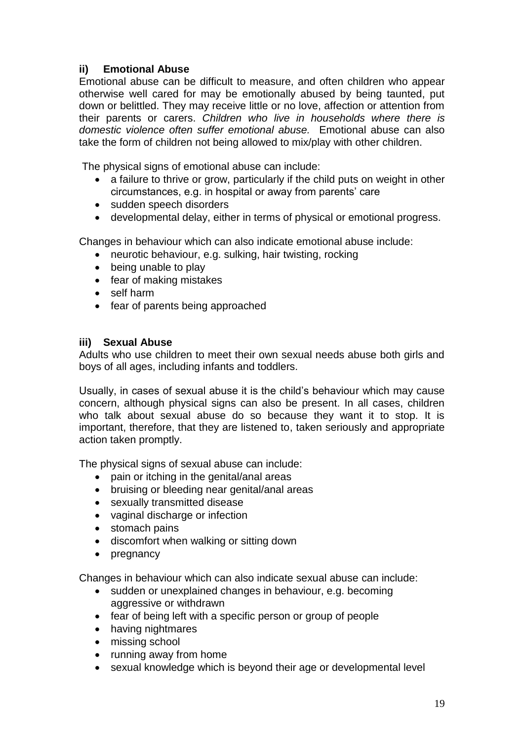# **ii) Emotional Abuse**

Emotional abuse can be difficult to measure, and often children who appear otherwise well cared for may be emotionally abused by being taunted, put down or belittled. They may receive little or no love, affection or attention from their parents or carers. *Children who live in households where there is domestic violence often suffer emotional abuse.* Emotional abuse can also take the form of children not being allowed to mix/play with other children.

The physical signs of emotional abuse can include:

- a failure to thrive or grow, particularly if the child puts on weight in other circumstances, e.g. in hospital or away from parents' care
- sudden speech disorders
- developmental delay, either in terms of physical or emotional progress.

Changes in behaviour which can also indicate emotional abuse include:

- neurotic behaviour, e.g. sulking, hair twisting, rocking
- being unable to play
- fear of making mistakes
- self harm
- fear of parents being approached

#### **iii) Sexual Abuse**

Adults who use children to meet their own sexual needs abuse both girls and boys of all ages, including infants and toddlers.

Usually, in cases of sexual abuse it is the child's behaviour which may cause concern, although physical signs can also be present. In all cases, children who talk about sexual abuse do so because they want it to stop. It is important, therefore, that they are listened to, taken seriously and appropriate action taken promptly.

The physical signs of sexual abuse can include:

- pain or itching in the genital/anal areas
- bruising or bleeding near genital/anal areas
- sexually transmitted disease
- vaginal discharge or infection
- stomach pains
- discomfort when walking or sitting down
- pregnancy

Changes in behaviour which can also indicate sexual abuse can include:

- sudden or unexplained changes in behaviour, e.g. becoming aggressive or withdrawn
- fear of being left with a specific person or group of people
- having nightmares
- missing school
- running away from home
- sexual knowledge which is beyond their age or developmental level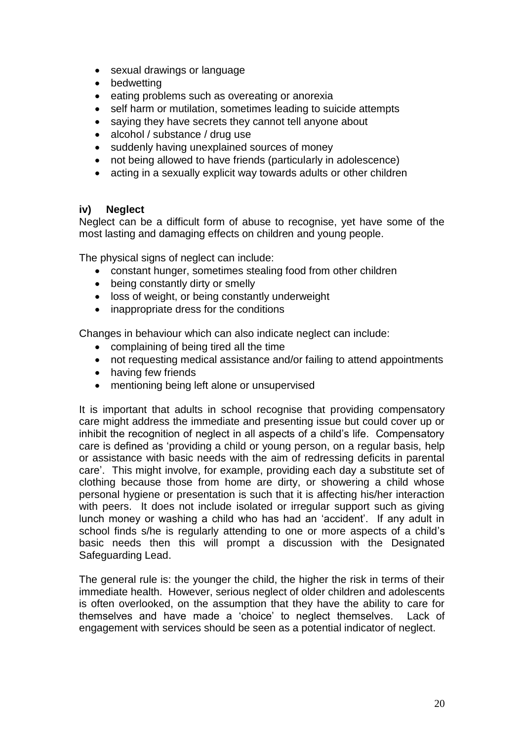- sexual drawings or language
- bedwetting
- eating problems such as overeating or anorexia
- self harm or mutilation, sometimes leading to suicide attempts
- saying they have secrets they cannot tell anyone about
- alcohol / substance / drug use
- suddenly having unexplained sources of money
- not being allowed to have friends (particularly in adolescence)
- acting in a sexually explicit way towards adults or other children

## **iv) Neglect**

Neglect can be a difficult form of abuse to recognise, yet have some of the most lasting and damaging effects on children and young people.

The physical signs of neglect can include:

- constant hunger, sometimes stealing food from other children
- being constantly dirty or smelly
- loss of weight, or being constantly underweight
- inappropriate dress for the conditions

Changes in behaviour which can also indicate neglect can include:

- complaining of being tired all the time
- not requesting medical assistance and/or failing to attend appointments
- having few friends
- mentioning being left alone or unsupervised

It is important that adults in school recognise that providing compensatory care might address the immediate and presenting issue but could cover up or inhibit the recognition of neglect in all aspects of a child's life. Compensatory care is defined as 'providing a child or young person, on a regular basis, help or assistance with basic needs with the aim of redressing deficits in parental care'. This might involve, for example, providing each day a substitute set of clothing because those from home are dirty, or showering a child whose personal hygiene or presentation is such that it is affecting his/her interaction with peers. It does not include isolated or irregular support such as giving lunch money or washing a child who has had an 'accident'. If any adult in school finds s/he is regularly attending to one or more aspects of a child's basic needs then this will prompt a discussion with the Designated Safeguarding Lead.

The general rule is: the younger the child, the higher the risk in terms of their immediate health. However, serious neglect of older children and adolescents is often overlooked, on the assumption that they have the ability to care for themselves and have made a 'choice' to neglect themselves. Lack of engagement with services should be seen as a potential indicator of neglect.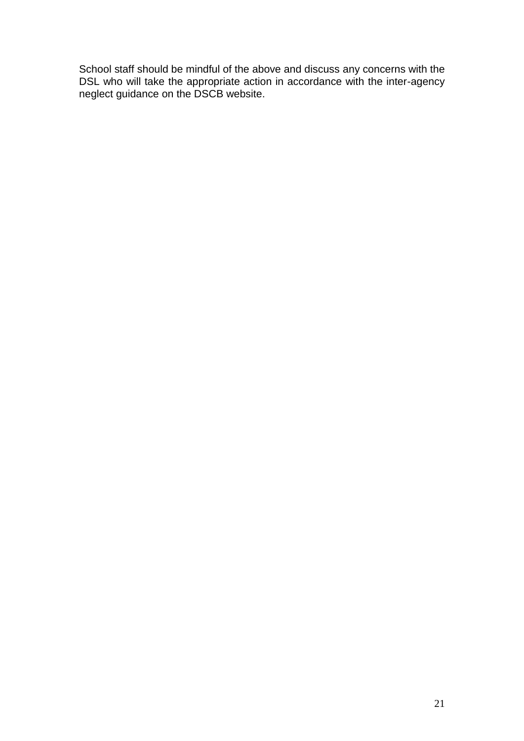School staff should be mindful of the above and discuss any concerns with the DSL who will take the appropriate action in accordance with the inter-agency neglect guidance on the DSCB website.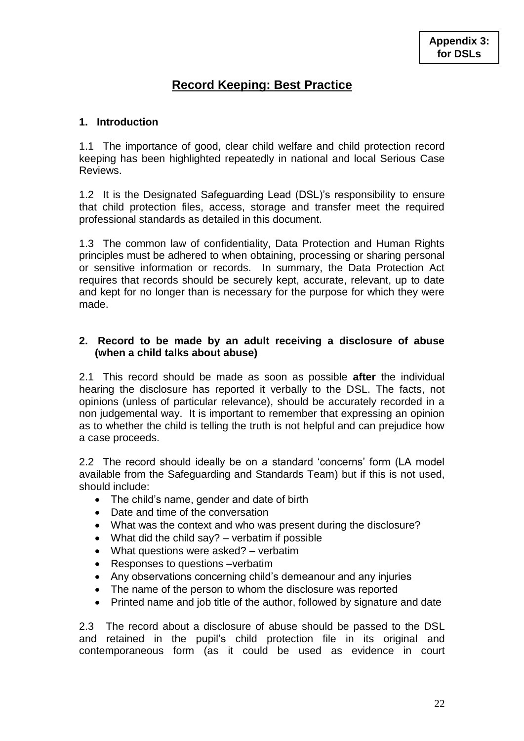# **Record Keeping: Best Practice**

#### **1. Introduction**

1.1 The importance of good, clear child welfare and child protection record keeping has been highlighted repeatedly in national and local Serious Case Reviews.

1.2 It is the Designated Safeguarding Lead (DSL)'s responsibility to ensure that child protection files, access, storage and transfer meet the required professional standards as detailed in this document.

1.3 The common law of confidentiality, Data Protection and Human Rights principles must be adhered to when obtaining, processing or sharing personal or sensitive information or records. In summary, the Data Protection Act requires that records should be securely kept, accurate, relevant, up to date and kept for no longer than is necessary for the purpose for which they were made.

#### **2. Record to be made by an adult receiving a disclosure of abuse (when a child talks about abuse)**

2.1 This record should be made as soon as possible **after** the individual hearing the disclosure has reported it verbally to the DSL. The facts, not opinions (unless of particular relevance), should be accurately recorded in a non judgemental way. It is important to remember that expressing an opinion as to whether the child is telling the truth is not helpful and can prejudice how a case proceeds.

2.2 The record should ideally be on a standard 'concerns' form (LA model available from the Safeguarding and Standards Team) but if this is not used, should include:

- The child's name, gender and date of birth
- Date and time of the conversation
- What was the context and who was present during the disclosure?
- What did the child say? verbatim if possible
- What questions were asked? verbatim
- Responses to questions –verbatim
- Any observations concerning child's demeanour and any injuries
- The name of the person to whom the disclosure was reported
- Printed name and job title of the author, followed by signature and date

2.3 The record about a disclosure of abuse should be passed to the DSL and retained in the pupil's child protection file in its original and contemporaneous form (as it could be used as evidence in court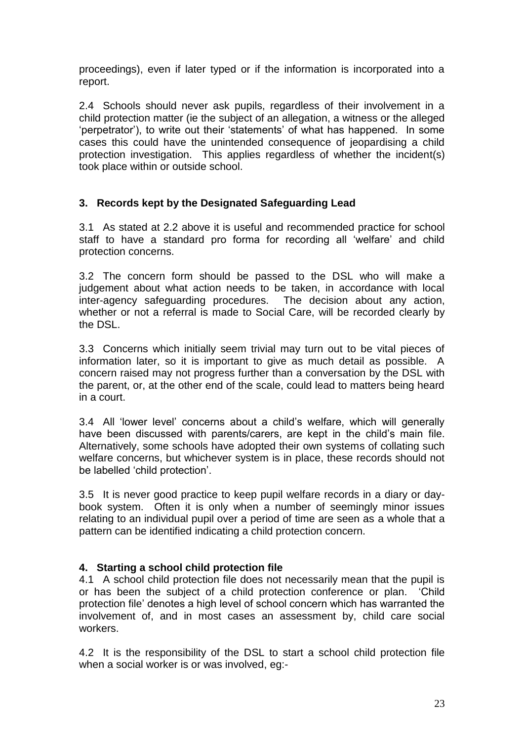proceedings), even if later typed or if the information is incorporated into a report.

2.4 Schools should never ask pupils, regardless of their involvement in a child protection matter (ie the subject of an allegation, a witness or the alleged 'perpetrator'), to write out their 'statements' of what has happened. In some cases this could have the unintended consequence of jeopardising a child protection investigation. This applies regardless of whether the incident(s) took place within or outside school.

# **3. Records kept by the Designated Safeguarding Lead**

3.1 As stated at 2.2 above it is useful and recommended practice for school staff to have a standard pro forma for recording all 'welfare' and child protection concerns.

3.2 The concern form should be passed to the DSL who will make a judgement about what action needs to be taken, in accordance with local inter-agency safeguarding procedures. The decision about any action, whether or not a referral is made to Social Care, will be recorded clearly by the DSL.

3.3 Concerns which initially seem trivial may turn out to be vital pieces of information later, so it is important to give as much detail as possible. A concern raised may not progress further than a conversation by the DSL with the parent, or, at the other end of the scale, could lead to matters being heard in a court.

3.4 All 'lower level' concerns about a child's welfare, which will generally have been discussed with parents/carers, are kept in the child's main file. Alternatively, some schools have adopted their own systems of collating such welfare concerns, but whichever system is in place, these records should not be labelled 'child protection'.

3.5 It is never good practice to keep pupil welfare records in a diary or daybook system. Often it is only when a number of seemingly minor issues relating to an individual pupil over a period of time are seen as a whole that a pattern can be identified indicating a child protection concern.

#### **4. Starting a school child protection file**

4.1 A school child protection file does not necessarily mean that the pupil is or has been the subject of a child protection conference or plan. 'Child protection file' denotes a high level of school concern which has warranted the involvement of, and in most cases an assessment by, child care social workers.

4.2 It is the responsibility of the DSL to start a school child protection file when a social worker is or was involved, eq:-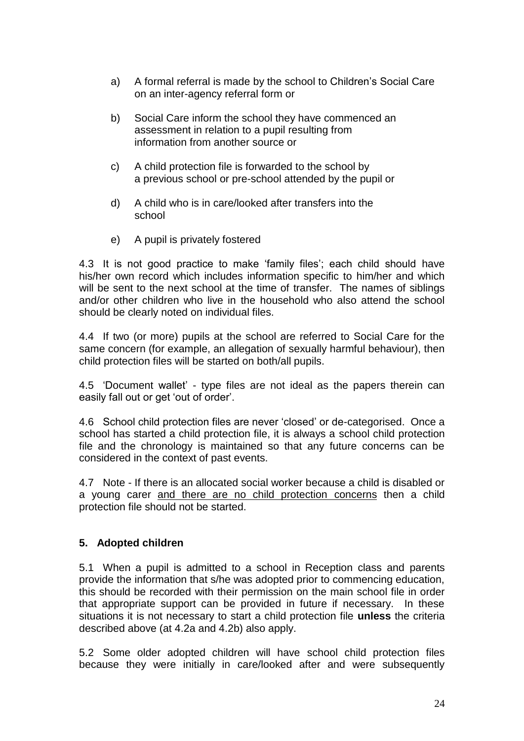- a) A formal referral is made by the school to Children's Social Care on an inter-agency referral form or
- b) Social Care inform the school they have commenced an assessment in relation to a pupil resulting from information from another source or
- c) A child protection file is forwarded to the school by a previous school or pre-school attended by the pupil or
- d) A child who is in care/looked after transfers into the school
- e) A pupil is privately fostered

4.3 It is not good practice to make 'family files'; each child should have his/her own record which includes information specific to him/her and which will be sent to the next school at the time of transfer. The names of siblings and/or other children who live in the household who also attend the school should be clearly noted on individual files.

4.4 If two (or more) pupils at the school are referred to Social Care for the same concern (for example, an allegation of sexually harmful behaviour), then child protection files will be started on both/all pupils.

4.5 'Document wallet' - type files are not ideal as the papers therein can easily fall out or get 'out of order'.

4.6 School child protection files are never 'closed' or de-categorised. Once a school has started a child protection file, it is always a school child protection file and the chronology is maintained so that any future concerns can be considered in the context of past events.

4.7 Note - If there is an allocated social worker because a child is disabled or a young carer and there are no child protection concerns then a child protection file should not be started.

# **5. Adopted children**

5.1 When a pupil is admitted to a school in Reception class and parents provide the information that s/he was adopted prior to commencing education, this should be recorded with their permission on the main school file in order that appropriate support can be provided in future if necessary. In these situations it is not necessary to start a child protection file **unless** the criteria described above (at 4.2a and 4.2b) also apply.

5.2 Some older adopted children will have school child protection files because they were initially in care/looked after and were subsequently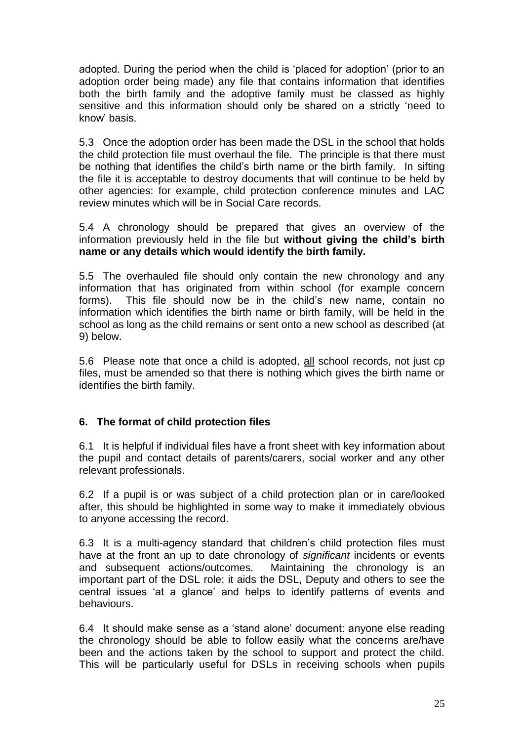adopted. During the period when the child is 'placed for adoption' (prior to an adoption order being made) any file that contains information that identifies both the birth family and the adoptive family must be classed as highly sensitive and this information should only be shared on a strictly 'need to know' basis.

5.3 Once the adoption order has been made the DSL in the school that holds the child protection file must overhaul the file. The principle is that there must be nothing that identifies the child's birth name or the birth family. In sifting the file it is acceptable to destroy documents that will continue to be held by other agencies: for example, child protection conference minutes and LAC review minutes which will be in Social Care records.

5.4 A chronology should be prepared that gives an overview of the information previously held in the file but **without giving the child's birth name or any details which would identify the birth family.**

5.5 The overhauled file should only contain the new chronology and any information that has originated from within school (for example concern forms). This file should now be in the child's new name, contain no information which identifies the birth name or birth family, will be held in the school as long as the child remains or sent onto a new school as described (at 9) below.

5.6 Please note that once a child is adopted, all school records, not just cp files, must be amended so that there is nothing which gives the birth name or identifies the birth family.

# **6. The format of child protection files**

6.1 It is helpful if individual files have a front sheet with key information about the pupil and contact details of parents/carers, social worker and any other relevant professionals.

6.2 If a pupil is or was subject of a child protection plan or in care/looked after, this should be highlighted in some way to make it immediately obvious to anyone accessing the record.

6.3 It is a multi-agency standard that children's child protection files must have at the front an up to date chronology of *significant* incidents or events Maintaining the chronology is an important part of the DSL role; it aids the DSL, Deputy and others to see the central issues 'at a glance' and helps to identify patterns of events and behaviours.

6.4 It should make sense as a 'stand alone' document: anyone else reading the chronology should be able to follow easily what the concerns are/have been and the actions taken by the school to support and protect the child. This will be particularly useful for DSLs in receiving schools when pupils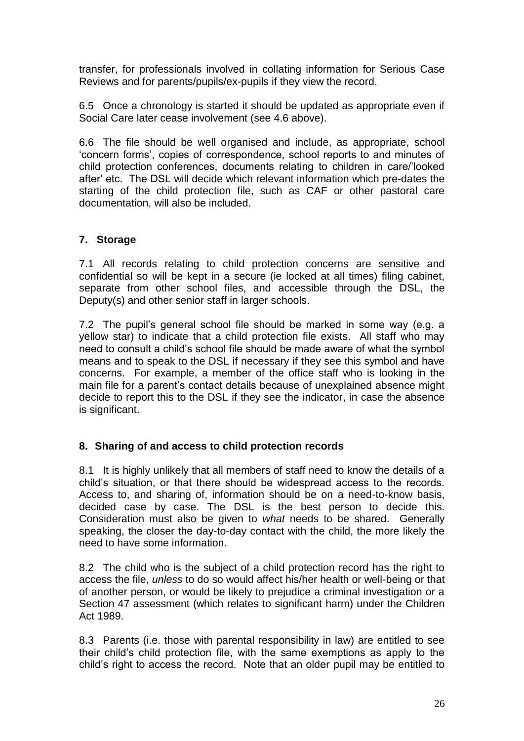transfer, for professionals involved in collating information for Serious Case Reviews and for parents/pupils/ex-pupils if they view the record.

6.5 Once a chronology is started it should be updated as appropriate even if Social Care later cease involvement (see 4.6 above).

6.6 The file should be well organised and include, as appropriate, school 'concern forms', copies of correspondence, school reports to and minutes of child protection conferences, documents relating to children in care/'looked after' etc. The DSL will decide which relevant information which pre-dates the starting of the child protection file, such as CAF or other pastoral care documentation, will also be included.

# **7. Storage**

7.1 All records relating to child protection concerns are sensitive and confidential so will be kept in a secure (ie locked at all times) filing cabinet, separate from other school files, and accessible through the DSL, the Deputy(s) and other senior staff in larger schools.

7.2 The pupil's general school file should be marked in some way (e.g. a yellow star) to indicate that a child protection file exists. All staff who may need to consult a child's school file should be made aware of what the symbol means and to speak to the DSL if necessary if they see this symbol and have concerns. For example, a member of the office staff who is looking in the main file for a parent's contact details because of unexplained absence might decide to report this to the DSL if they see the indicator, in case the absence is significant.

# **8. Sharing of and access to child protection records**

8.1 It is highly unlikely that all members of staff need to know the details of a child's situation, or that there should be widespread access to the records. Access to, and sharing of, information should be on a need-to-know basis, decided case by case. The DSL is the best person to decide this. Consideration must also be given to *what* needs to be shared. Generally speaking, the closer the day-to-day contact with the child, the more likely the need to have some information.

8.2 The child who is the subject of a child protection record has the right to access the file, *unless* to do so would affect his/her health or well-being or that of another person, or would be likely to prejudice a criminal investigation or a Section 47 assessment (which relates to significant harm) under the Children Act 1989.

8.3 Parents (i.e. those with parental responsibility in law) are entitled to see their child's child protection file, with the same exemptions as apply to the child's right to access the record. Note that an older pupil may be entitled to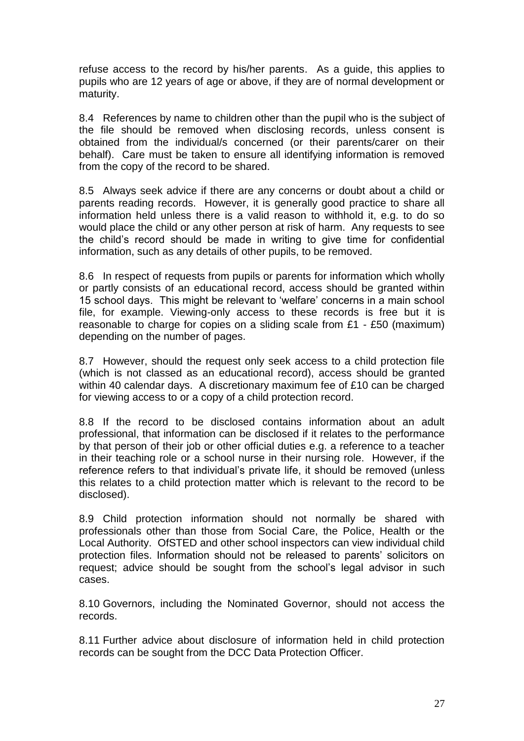refuse access to the record by his/her parents. As a guide, this applies to pupils who are 12 years of age or above, if they are of normal development or maturity.

8.4 References by name to children other than the pupil who is the subject of the file should be removed when disclosing records, unless consent is obtained from the individual/s concerned (or their parents/carer on their behalf). Care must be taken to ensure all identifying information is removed from the copy of the record to be shared.

8.5 Always seek advice if there are any concerns or doubt about a child or parents reading records. However, it is generally good practice to share all information held unless there is a valid reason to withhold it, e.g. to do so would place the child or any other person at risk of harm. Any requests to see the child's record should be made in writing to give time for confidential information, such as any details of other pupils, to be removed.

8.6 In respect of requests from pupils or parents for information which wholly or partly consists of an educational record, access should be granted within 15 school days. This might be relevant to 'welfare' concerns in a main school file, for example. Viewing-only access to these records is free but it is reasonable to charge for copies on a sliding scale from £1 - £50 (maximum) depending on the number of pages.

8.7 However, should the request only seek access to a child protection file (which is not classed as an educational record), access should be granted within 40 calendar days. A discretionary maximum fee of £10 can be charged for viewing access to or a copy of a child protection record.

8.8 If the record to be disclosed contains information about an adult professional, that information can be disclosed if it relates to the performance by that person of their job or other official duties e.g. a reference to a teacher in their teaching role or a school nurse in their nursing role. However, if the reference refers to that individual's private life, it should be removed (unless this relates to a child protection matter which is relevant to the record to be disclosed).

8.9 Child protection information should not normally be shared with professionals other than those from Social Care, the Police, Health or the Local Authority. OfSTED and other school inspectors can view individual child protection files. Information should not be released to parents' solicitors on request; advice should be sought from the school's legal advisor in such cases.

8.10 Governors, including the Nominated Governor, should not access the records.

8.11 Further advice about disclosure of information held in child protection records can be sought from the DCC Data Protection Officer.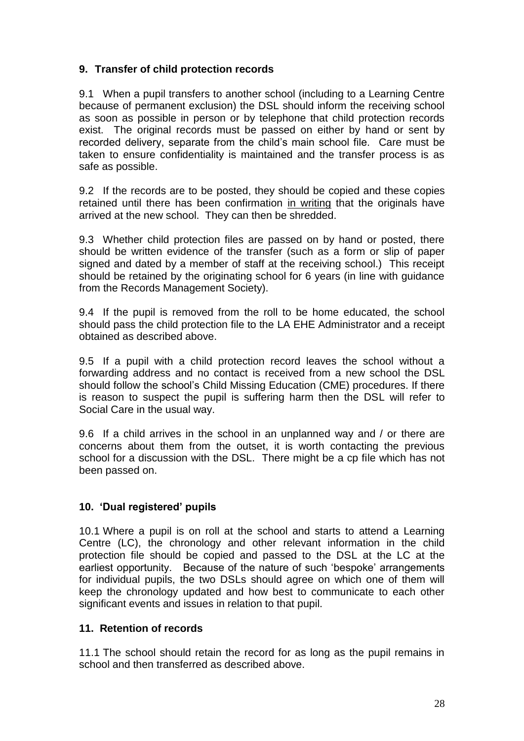# **9. Transfer of child protection records**

9.1 When a pupil transfers to another school (including to a Learning Centre because of permanent exclusion) the DSL should inform the receiving school as soon as possible in person or by telephone that child protection records exist. The original records must be passed on either by hand or sent by recorded delivery, separate from the child's main school file. Care must be taken to ensure confidentiality is maintained and the transfer process is as safe as possible.

9.2 If the records are to be posted, they should be copied and these copies retained until there has been confirmation in writing that the originals have arrived at the new school. They can then be shredded.

9.3 Whether child protection files are passed on by hand or posted, there should be written evidence of the transfer (such as a form or slip of paper signed and dated by a member of staff at the receiving school.) This receipt should be retained by the originating school for 6 years (in line with guidance from the Records Management Society).

9.4 If the pupil is removed from the roll to be home educated, the school should pass the child protection file to the LA EHE Administrator and a receipt obtained as described above.

9.5 If a pupil with a child protection record leaves the school without a forwarding address and no contact is received from a new school the DSL should follow the school's Child Missing Education (CME) procedures. If there is reason to suspect the pupil is suffering harm then the DSL will refer to Social Care in the usual way.

9.6 If a child arrives in the school in an unplanned way and / or there are concerns about them from the outset, it is worth contacting the previous school for a discussion with the DSL. There might be a cp file which has not been passed on.

# **10. 'Dual registered' pupils**

10.1 Where a pupil is on roll at the school and starts to attend a Learning Centre (LC), the chronology and other relevant information in the child protection file should be copied and passed to the DSL at the LC at the earliest opportunity. Because of the nature of such 'bespoke' arrangements for individual pupils, the two DSLs should agree on which one of them will keep the chronology updated and how best to communicate to each other significant events and issues in relation to that pupil.

# **11. Retention of records**

11.1 The school should retain the record for as long as the pupil remains in school and then transferred as described above.